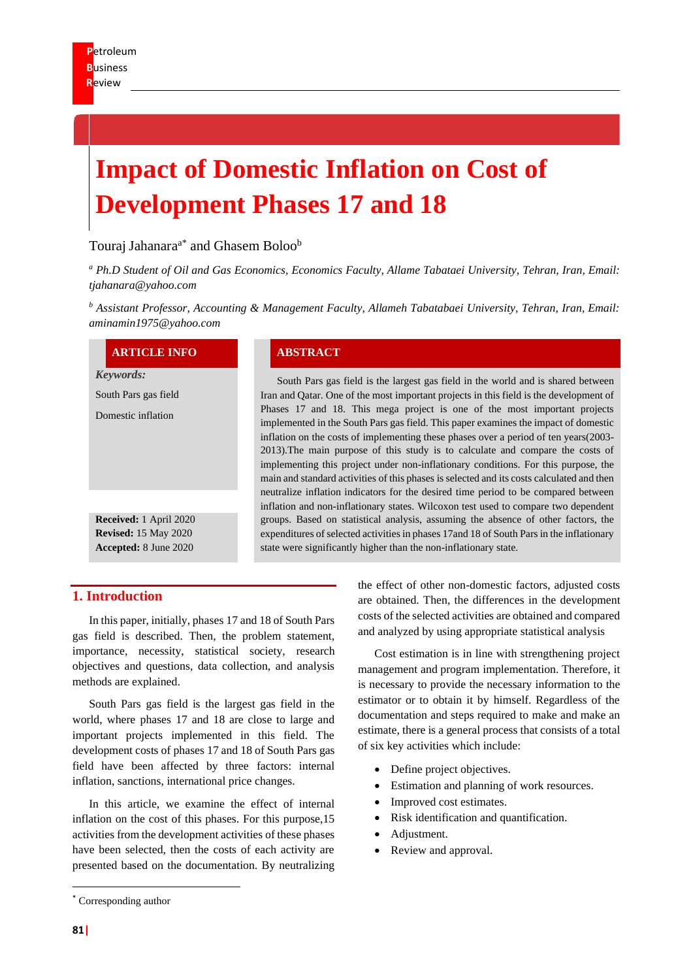# **Impact of Domestic Inflation on Cost of Development Phases 17 and 18**

# Touraj Jahanara<sup>a\*</sup> and Ghasem Boloo<sup>b</sup>

*<sup>a</sup> Ph.D Student of Oil and Gas Economics, Economics Faculty, Allame Tabataei University, Tehran, Iran, Email: tjahanara@yahoo.com* 

*<sup>b</sup> Assistant Professor, Accounting & Management Faculty, Allameh Tabatabaei University, Tehran, Iran, Email: aminamin1975@yahoo.com*

#### **ARTICLE INFO ABSTRACT**

*Keywords:* South Pars gas field Domestic inflation **Received:** 1 April 2020 **Revised:** 15 May 2020

South Pars gas field is the largest gas field in the world and is shared between Iran and Qatar. One of the most important projects in this field is the development of Phases 17 and 18. This mega project is one of the most important projects implemented in the South Pars gas field. This paper examines the impact of domestic inflation on the costs of implementing these phases over a period of ten years(2003- 2013).The main purpose of this study is to calculate and compare the costs of implementing this project under non-inflationary conditions. For this purpose, the main and standard activities of this phases is selected and its costs calculated and then neutralize inflation indicators for the desired time period to be compared between inflation and non-inflationary states. Wilcoxon test used to compare two dependent groups. Based on statistical analysis, assuming the absence of other factors, the expenditures of selected activities in phases 17and 18 of South Pars in the inflationary state were significantly higher than the non-inflationary state.

# **1. Introduction**

**Accepted:** 8 June 2020

In this paper, initially, phases 17 and 18 of South Pars gas field is described. Then, the problem statement, importance, necessity, statistical society, research objectives and questions, data collection, and analysis methods are explained.

South Pars gas field is the largest gas field in the world, where phases 17 and 18 are close to large and important projects implemented in this field. The development costs of phases 17 and 18 of South Pars gas field have been affected by three factors: internal inflation, sanctions, international price changes.

In this article, we examine the effect of internal inflation on the cost of this phases. For this purpose,15 activities from the development activities of these phases have been selected, then the costs of each activity are presented based on the documentation. By neutralizing

the effect of other non-domestic factors, adjusted costs are obtained. Then, the differences in the development costs of the selected activities are obtained and compared and analyzed by using appropriate statistical analysis

Cost estimation is in line with strengthening project management and program implementation. Therefore, it is necessary to provide the necessary information to the estimator or to obtain it by himself. Regardless of the documentation and steps required to make and make an estimate, there is a general process that consists of a total of six key activities which include:

- Define project objectives.
- Estimation and planning of work resources.
- Improved cost estimates.
- Risk identification and quantification.
- Adjustment.
- Review and approval.

<sup>\*</sup> Corresponding author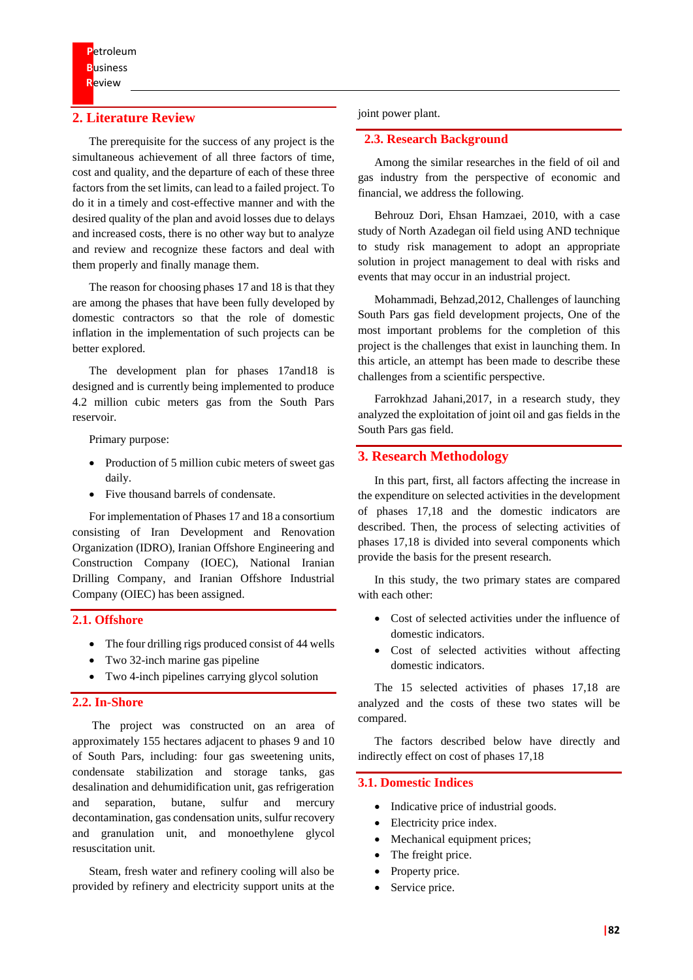# **2. Literature Review**

The prerequisite for the success of any project is the simultaneous achievement of all three factors of time, cost and quality, and the departure of each of these three factors from the set limits, can lead to a failed project. To do it in a timely and cost-effective manner and with the desired quality of the plan and avoid losses due to delays and increased costs, there is no other way but to analyze and review and recognize these factors and deal with them properly and finally manage them.

The reason for choosing phases 17 and 18 is that they are among the phases that have been fully developed by domestic contractors so that the role of domestic inflation in the implementation of such projects can be better explored.

The development plan for phases 17and18 is designed and is currently being implemented to produce 4.2 million cubic meters gas from the South Pars reservoir.

Primary purpose:

- Production of 5 million cubic meters of sweet gas daily.
- Five thousand barrels of condensate.

For implementation of Phases 17 and 18 a consortium consisting of Iran Development and Renovation Organization (IDRO), Iranian Offshore Engineering and Construction Company (IOEC), National Iranian Drilling Company, and Iranian Offshore Industrial Company (OIEC) has been assigned.

# **2.1. Offshore**

- The four drilling rigs produced consist of 44 wells
- Two 32-inch marine gas pipeline
- Two 4-inch pipelines carrying glycol solution

# **2.2. In-Shore**

The project was constructed on an area of approximately 155 hectares adjacent to phases 9 and 10 of South Pars, including: four gas sweetening units, condensate stabilization and storage tanks, gas desalination and dehumidification unit, gas refrigeration and separation, butane, sulfur and mercury decontamination, gas condensation units, sulfur recovery and granulation unit, and monoethylene glycol resuscitation unit.

Steam, fresh water and refinery cooling will also be provided by refinery and electricity support units at the

#### joint power plant.

#### **2.3. Research Background**

Among the similar researches in the field of oil and gas industry from the perspective of economic and financial, we address the following.

Behrouz Dori, Ehsan Hamzaei, 2010, with a case study of North Azadegan oil field using AND technique to study risk management to adopt an appropriate solution in project management to deal with risks and events that may occur in an industrial project.

Mohammadi, Behzad,2012, Challenges of launching South Pars gas field development projects, One of the most important problems for the completion of this project is the challenges that exist in launching them. In this article, an attempt has been made to describe these challenges from a scientific perspective.

Farrokhzad Jahani,2017, in a research study, they analyzed the exploitation of joint oil and gas fields in the South Pars gas field.

#### **3. Research Methodology**

In this part, first, all factors affecting the increase in the expenditure on selected activities in the development of phases 17,18 and the domestic indicators are described. Then, the process of selecting activities of phases 17,18 is divided into several components which provide the basis for the present research.

In this study, the two primary states are compared with each other:

- Cost of selected activities under the influence of domestic indicators.
- Cost of selected activities without affecting domestic indicators.

The 15 selected activities of phases 17,18 are analyzed and the costs of these two states will be compared.

The factors described below have directly and indirectly effect on cost of phases 17,18

#### **3.1. Domestic Indices**

- Indicative price of industrial goods.
- Electricity price index.
- Mechanical equipment prices;
- The freight price.
- Property price.
- Service price.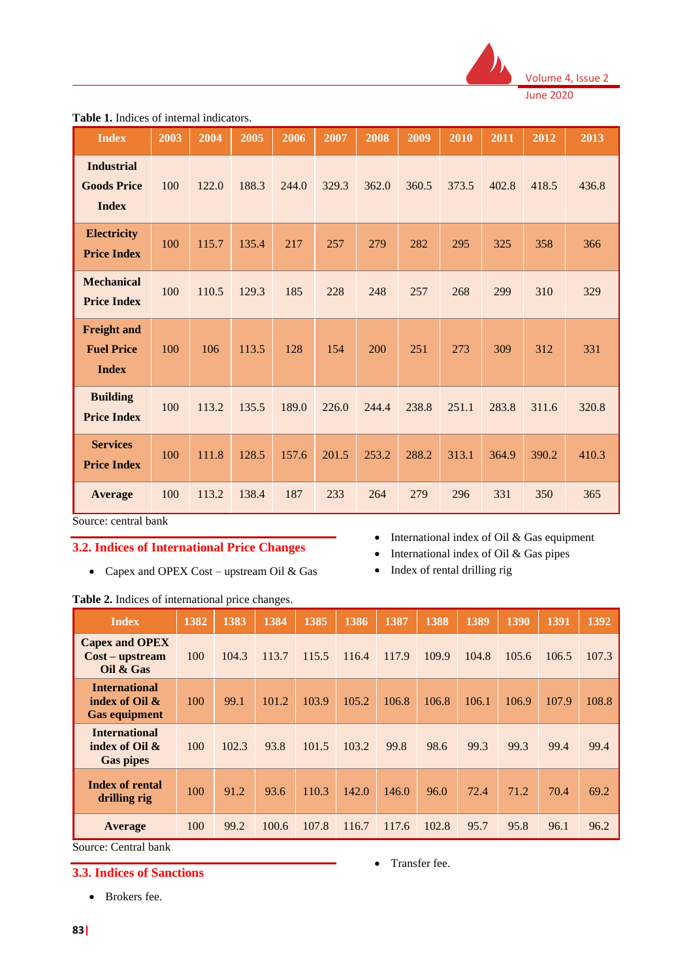

| <b>Index</b>                                            | 2003 | 2004  | 2005  | 2006  | 2007  | 2008  | 2009  | 2010  | 2011  | 2012  | 2013  |
|---------------------------------------------------------|------|-------|-------|-------|-------|-------|-------|-------|-------|-------|-------|
| <b>Industrial</b><br><b>Goods Price</b><br><b>Index</b> | 100  | 122.0 | 188.3 | 244.0 | 329.3 | 362.0 | 360.5 | 373.5 | 402.8 | 418.5 | 436.8 |
| <b>Electricity</b><br><b>Price Index</b>                | 100  | 115.7 | 135.4 | 217   | 257   | 279   | 282   | 295   | 325   | 358   | 366   |
| <b>Mechanical</b><br><b>Price Index</b>                 | 100  | 110.5 | 129.3 | 185   | 228   | 248   | 257   | 268   | 299   | 310   | 329   |
| <b>Freight and</b><br><b>Fuel Price</b><br><b>Index</b> | 100  | 106   | 113.5 | 128   | 154   | 200   | 251   | 273   | 309   | 312   | 331   |
| <b>Building</b><br><b>Price Index</b>                   | 100  | 113.2 | 135.5 | 189.0 | 226.0 | 244.4 | 238.8 | 251.1 | 283.8 | 311.6 | 320.8 |
| <b>Services</b><br><b>Price Index</b>                   | 100  | 111.8 | 128.5 | 157.6 | 201.5 | 253.2 | 288.2 | 313.1 | 364.9 | 390.2 | 410.3 |
| Average                                                 | 100  | 113.2 | 138.4 | 187   | 233   | 264   | 279   | 296   | 331   | 350   | 365   |

Table 1. Indices of internal indicators.

Source: central bank

# **3.2. Indices of International Price Changes**

- Capex and OPEX Cost upstream Oil & Gas
- International index of Oil & Gas equipment
- International index of Oil & Gas pipes
- Index of rental drilling rig

| <b>Table 2.</b> Indices of international price changes.           |      |       |       |       |       |       |       |       |       |       |       |
|-------------------------------------------------------------------|------|-------|-------|-------|-------|-------|-------|-------|-------|-------|-------|
| <b>Index</b>                                                      | 1382 | 1383  | 1384  | 1385  | 1386  | 1387  | 1388  | 1389  | 1390  | 1391  | 1392  |
| <b>Capex and OPEX</b><br>$Cost - upstream$<br>Oil & Gas           | 100  | 104.3 | 113.7 | 115.5 | 116.4 | 117.9 | 109.9 | 104.8 | 105.6 | 106.5 | 107.3 |
| <b>International</b><br>index of Oil $\&$<br><b>Gas equipment</b> | 100  | 99.1  | 101.2 | 103.9 | 105.2 | 106.8 | 106.8 | 106.1 | 106.9 | 107.9 | 108.8 |
| <b>International</b><br>index of Oil $\&$<br><b>Gas pipes</b>     | 100  | 102.3 | 93.8  | 101.5 | 103.2 | 99.8  | 98.6  | 99.3  | 99.3  | 99.4  | 99.4  |
| <b>Index of rental</b><br>drilling rig                            | 100  | 91.2  | 93.6  | 110.3 | 142.0 | 146.0 | 96.0  | 72.4  | 71.2  | 70.4  | 69.2  |
| Average                                                           | 100  | 99.2  | 100.6 | 107.8 | 116.7 | 117.6 | 102.8 | 95.7  | 95.8  | 96.1  | 96.2  |

Source: Central bank

# **3.3. Indices of Sanctions**

• Transfer fee.

• Brokers fee.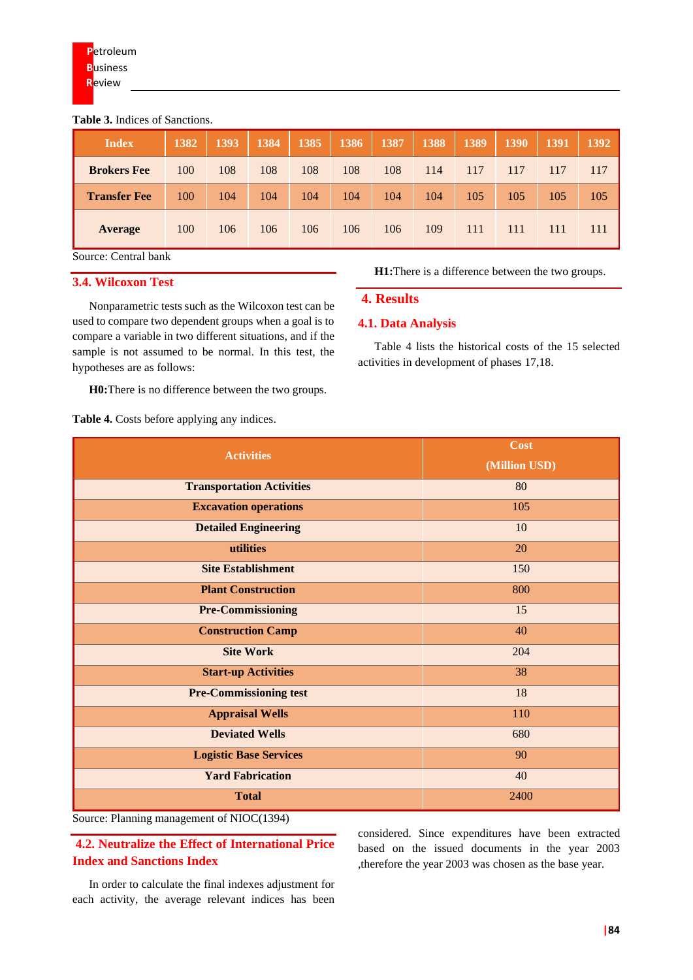#### **Table 3.** Indices of Sanctions.

| <b>Index</b>        | 1382 | 1393 | <b>1384</b> | 1385 | 1386 | 1387 | 1388 | 1389 | <b>1390</b> | 1391 | 1392 |
|---------------------|------|------|-------------|------|------|------|------|------|-------------|------|------|
| <b>Brokers Fee</b>  | 100  | 108  | 108         | 108  | 108  | 108  | 114  | 117  | 117         | 117  | 117  |
| <b>Transfer Fee</b> | 100  | 104  | 104         | 104  | 104  | 104  | 104  | 105  | 105         | 105  | 105  |
| <b>Average</b>      | 100  | 106  | 106         | 106  | 106  | 106  | 109  | 111  | 111         | 111  | 111  |

Source: Central bank

# **3.4. Wilcoxon Test**

Nonparametric tests such as the Wilcoxon test can be used to compare two dependent groups when a goal is to compare a variable in two different situations, and if the sample is not assumed to be normal. In this test, the hypotheses are as follows:

**H0:**There is no difference between the two groups.

**Table 4.** Costs before applying any indices.

**H1:**There is a difference between the two groups.

### **4. Results**

#### **4.1. Data Analysis**

Table 4 lists the historical costs of the 15 selected activities in development of phases 17,18.

| <b>Activities</b>                          | Cost          |  |  |  |
|--------------------------------------------|---------------|--|--|--|
|                                            | (Million USD) |  |  |  |
| <b>Transportation Activities</b>           | 80            |  |  |  |
| <b>Excavation operations</b>               | 105           |  |  |  |
| <b>Detailed Engineering</b>                | 10            |  |  |  |
| utilities                                  | 20            |  |  |  |
| <b>Site Establishment</b>                  | 150           |  |  |  |
| <b>Plant Construction</b>                  | 800           |  |  |  |
| <b>Pre-Commissioning</b>                   | 15            |  |  |  |
| <b>Construction Camp</b>                   | 40            |  |  |  |
| <b>Site Work</b>                           | 204           |  |  |  |
| <b>Start-up Activities</b>                 | 38            |  |  |  |
| <b>Pre-Commissioning test</b>              | 18            |  |  |  |
| <b>Appraisal Wells</b>                     | 110           |  |  |  |
| <b>Deviated Wells</b>                      | 680           |  |  |  |
| <b>Logistic Base Services</b>              | 90            |  |  |  |
| <b>Yard Fabrication</b>                    | 40            |  |  |  |
| <b>Total</b>                               | 2400          |  |  |  |
| $Source$ Planning management of NIOC(1394) |               |  |  |  |

 $rce:$  Planning management of NIOC(1394)

**4.2. Neutralize the Effect of International Price Index and Sanctions Index**

considered. Since expenditures have been extracted based on the issued documents in the year 2003 ,therefore the year 2003 was chosen as the base year.

In order to calculate the final indexes adjustment for each activity, the average relevant indices has been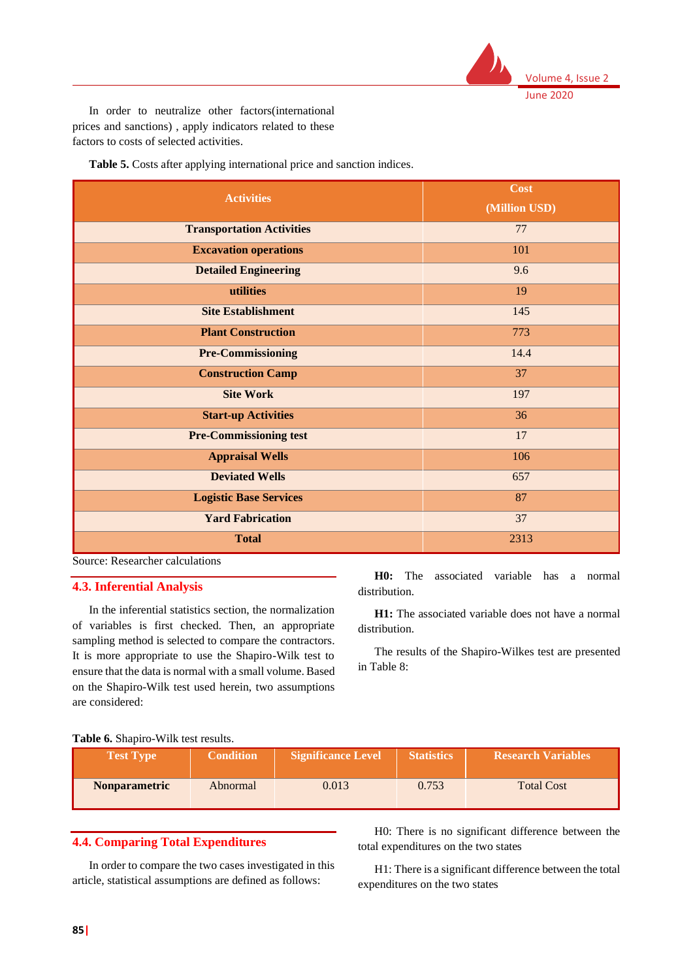

In order to neutralize other factors(international prices and sanctions) , apply indicators related to these factors to costs of selected activities.

**Table 5.** Costs after applying international price and sanction indices.

| <b>Activities</b>                | Cost<br>(Million USD) |
|----------------------------------|-----------------------|
| <b>Transportation Activities</b> | 77                    |
| <b>Excavation operations</b>     | 101                   |
| <b>Detailed Engineering</b>      | 9.6                   |
| utilities                        | 19                    |
| <b>Site Establishment</b>        | 145                   |
| <b>Plant Construction</b>        | 773                   |
| <b>Pre-Commissioning</b>         | 14.4                  |
| <b>Construction Camp</b>         | 37                    |
| <b>Site Work</b>                 | 197                   |
| <b>Start-up Activities</b>       | 36                    |
| <b>Pre-Commissioning test</b>    | 17                    |
| <b>Appraisal Wells</b>           | 106                   |
| <b>Deviated Wells</b>            | 657                   |
| <b>Logistic Base Services</b>    | 87                    |
| <b>Yard Fabrication</b>          | 37                    |
| <b>Total</b>                     | 2313                  |

Source: Researcher calculations

#### **4.3. Inferential Analysis**

In the inferential statistics section, the normalization of variables is first checked. Then, an appropriate sampling method is selected to compare the contractors. It is more appropriate to use the Shapiro-Wilk test to ensure that the data is normal with a small volume. Based on the Shapiro-Wilk test used herein, two assumptions are considered:

**H0:** The associated variable has a normal distribution.

**H1:** The associated variable does not have a normal distribution.

The results of the Shapiro-Wilkes test are presented in Table 8:

#### **Table 6.** Shapiro-Wilk test results.

| <b>Test Type</b>     | <b>Condition</b> | <b>Significance Level</b> | <b>Statistics</b> | <b>Research Variables</b> |
|----------------------|------------------|---------------------------|-------------------|---------------------------|
| <b>Nonparametric</b> | Abnormal         | 0.013                     | 0.753             | <b>Total Cost</b>         |

# **4.4. Comparing Total Expenditures**

In order to compare the two cases investigated in this article, statistical assumptions are defined as follows:

H0: There is no significant difference between the total expenditures on the two states

H1: There is a significant difference between the total expenditures on the two states